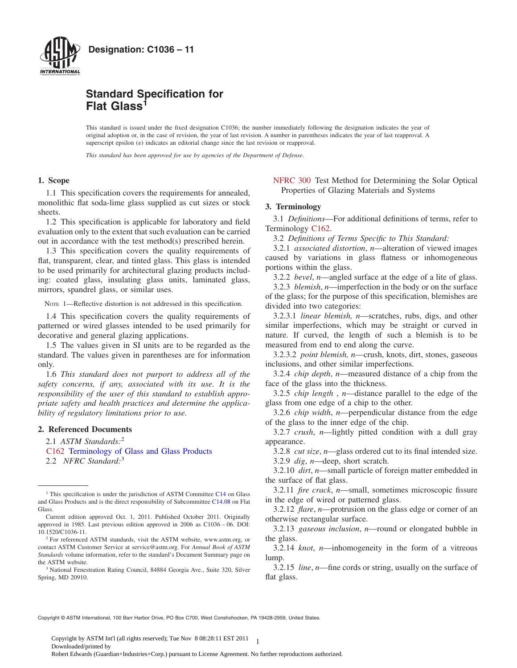

## **Standard Specification for Flat Glass<sup>1</sup>**

This standard is issued under the fixed designation C1036; the number immediately following the designation indicates the year of original adoption or, in the case of revision, the year of last revision. A number in parentheses indicates the year of last reapproval. A superscript epsilon  $(\varepsilon)$  indicates an editorial change since the last revision or reapproval.

*This standard has been approved for use by agencies of the Department of Defense.*

## **1. Scope**

1.1 This specification covers the requirements for annealed, monolithic flat soda-lime glass supplied as cut sizes or stock sheets.

1.2 This specification is applicable for laboratory and field evaluation only to the extent that such evaluation can be carried out in accordance with the test method(s) prescribed herein.

1.3 This specification covers the quality requirements of flat, transparent, clear, and tinted glass. This glass is intended to be used primarily for architectural glazing products including: coated glass, insulating glass units, laminated glass, mirrors, spandrel glass, or similar uses.

NOTE 1—Reflective distortion is not addressed in this specification.

1.4 This specification covers the quality requirements of patterned or wired glasses intended to be used primarily for decorative and general glazing applications.

1.5 The values given in SI units are to be regarded as the standard. The values given in parentheses are for information only.

1.6 *This standard does not purport to address all of the safety concerns, if any, associated with its use. It is the responsibility of the user of this standard to establish appropriate safety and health practices and determine the applicability of regulatory limitations prior to use.*

## **2. Referenced Documents**

2.1 *ASTM Standards:*<sup>2</sup>

[C162](#page-0-0) [Terminology of Glass and Glass Products](http://dx.doi.org/10.1520/C0162)

2.2 *NFRC Standard:*<sup>3</sup>

<span id="page-0-2"></span>[NFRC 300](#page-2-0) Test Method for Determining the Solar Optical Properties of Glazing Materials and Systems

#### **3. Terminology**

<span id="page-0-0"></span>3.1 *Definitions*—For additional definitions of terms, refer to Terminology [C162.](#page-0-1)

3.2 *Definitions of Terms Specific to This Standard:*

3.2.1 *associated distortion*, *n*—alteration of viewed images caused by variations in glass flatness or inhomogeneous portions within the glass.

3.2.2 *bevel*, *n*—angled surface at the edge of a lite of glass.

3.2.3 *blemish*, *n*—imperfection in the body or on the surface of the glass; for the purpose of this specification, blemishes are divided into two categories:

3.2.3.1 *linear blemish, n*—scratches, rubs, digs, and other similar imperfections, which may be straight or curved in nature. If curved, the length of such a blemish is to be measured from end to end along the curve.

3.2.3.2 *point blemish, n*—crush, knots, dirt, stones, gaseous inclusions, and other similar imperfections.

3.2.4 *chip depth*, *n*—measured distance of a chip from the face of the glass into the thickness.

3.2.5 *chip length* , *n*—distance parallel to the edge of the glass from one edge of a chip to the other.

3.2.6 *chip width*, *n*—perpendicular distance from the edge of the glass to the inner edge of the chip.

3.2.7 *crush*, *n*—lightly pitted condition with a dull gray appearance.

3.2.8 *cut size*, *n*—glass ordered cut to its final intended size.

<span id="page-0-1"></span>3.2.9 *dig*, *n*—deep, short scratch.

3.2.10 *dirt*, *n*—small particle of foreign matter embedded in the surface of flat glass.

3.2.11 *fire crack*, *n*—small, sometimes microscopic fissure in the edge of wired or patterned glass.

3.2.12 *flare*, *n*—protrusion on the glass edge or corner of an otherwise rectangular surface.

3.2.13 *gaseous inclusion*, *n*—round or elongated bubble in the glass.

3.2.14 *knot*, *n*—inhomogeneity in the form of a vitreous lump.

3.2.15 *line*, *n*—fine cords or string, usually on the surface of flat glass.

Copyright © ASTM International, 100 Barr Harbor Drive, PO Box C700, West Conshohocken, PA 19428-2959, United States.

Copyright by ASTM Int'l (all rights reserved); Tue Nov 8 08:28:11 EST 2011 1 Downloaded/printed by

Robert Edwards (Guardian+Industries+Corp.) pursuant to License Agreement. No further reproductions authorized.

 $1$  This specification is under the jurisdiction of ASTM Committee [C14](http://www.astm.org/COMMIT/COMMITTEE/C14.htm) on Glass and Glass Products and is the direct responsibility of Subcommittee [C14.08](http://www.astm.org/COMMIT/SUBCOMMIT/C1408.htm) on Flat **Glass** 

Current edition approved Oct. 1, 2011. Published October 2011. Originally approved in 1985. Last previous edition approved in 2006 as C1036 – 06. DOI: 10.1520/C1036-11.

<sup>2</sup> For referenced ASTM standards, visit the ASTM website, www.astm.org, or contact ASTM Customer Service at service@astm.org. For *Annual Book of ASTM Standards* volume information, refer to the standard's Document Summary page on the ASTM website.

<sup>3</sup> National Fenestration Rating Council, 84884 Georgia Ave., Suite 320, Silver Spring, MD 20910.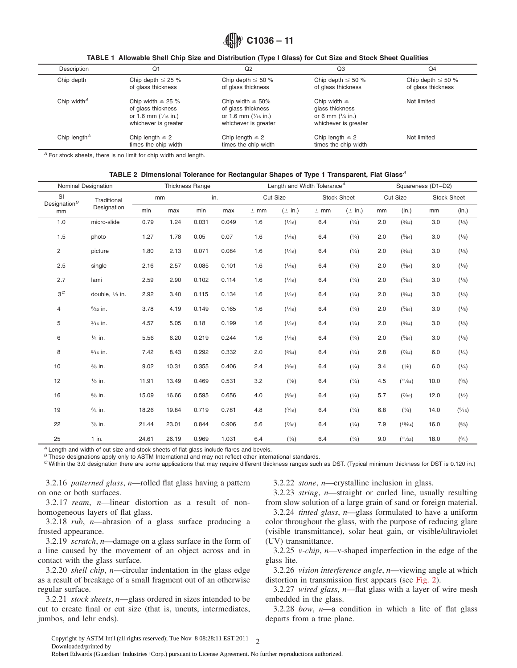<span id="page-1-1"></span><span id="page-1-0"></span>

#### **TABLE 1 Allowable Shell Chip Size and Distribution (Type I Glass) for Cut Size and Stock Sheet Qualities**

| Description                           | Q1                                                                                                     | Q <sub>2</sub>                                                                                         | Q3                                                                                          | O <sub>4</sub>                               |
|---------------------------------------|--------------------------------------------------------------------------------------------------------|--------------------------------------------------------------------------------------------------------|---------------------------------------------------------------------------------------------|----------------------------------------------|
| Chip depth                            | Chip depth $\leq$ 25 %<br>of glass thickness                                                           | Chip depth $\leq 50$ %<br>of glass thickness                                                           | Chip depth $\leq 50$ %<br>of glass thickness                                                | Chip depth $\leq 50$ %<br>of glass thickness |
| Chip width <sup><math>A</math></sup>  | Chip width $\leq$ 25 %<br>of glass thickness<br>or 1.6 mm $(\frac{1}{16}$ in.)<br>whichever is greater | Chip width $\leq 50\%$<br>of glass thickness<br>or 1.6 mm $(\frac{1}{16}$ in.)<br>whichever is greater | Chip width $\leq$<br>glass thickness<br>or 6 mm $(1/4 \text{ in.})$<br>whichever is greater | Not limited                                  |
| Chip length <sup><math>A</math></sup> | Chip length $\leq 2$<br>times the chip width                                                           | Chip length $\leq 2$<br>times the chip width                                                           | Chip length $\leq 2$<br>times the chip width                                                | Not limited                                  |

*<sup>A</sup>* For stock sheets, there is no limit for chip width and length.

|  |  |  |  |  |  | TABLE 2 Dimensional Tolerance for Rectangular Shapes of Type 1 Transparent, Flat Glass <sup>A</sup> |  |
|--|--|--|--|--|--|-----------------------------------------------------------------------------------------------------|--|
|--|--|--|--|--|--|-----------------------------------------------------------------------------------------------------|--|

| Nominal Designation |                                         | <b>Thickness Range</b> |       |       | Length and Width Tolerance <sup>A</sup> |        |             | Squareness (D1-D2) |             |                    |         |          |        |                    |  |
|---------------------|-----------------------------------------|------------------------|-------|-------|-----------------------------------------|--------|-------------|--------------------|-------------|--------------------|---------|----------|--------|--------------------|--|
| SI                  | Traditional                             |                        | mm    |       | in.                                     |        | Cut Size    |                    |             | <b>Stock Sheet</b> |         | Cut Size |        | <b>Stock Sheet</b> |  |
| mm                  | Designation <sup>B</sup><br>Designation |                        | max   | min   | max                                     | $±$ mm | $(\pm$ in.) | $±$ mm             | $(\pm$ in.) | mm                 | (in.)   | mm       | (in.)  |                    |  |
| 1.0                 | micro-slide                             | 0.79                   | 1.24  | 0.031 | 0.049                                   | 1.6    | (1/16)      | 6.4                | (1/4)       | 2.0                | (5/64)  | 3.0      | (1/8)  |                    |  |
| 1.5                 | photo                                   | 1.27                   | 1.78  | 0.05  | 0.07                                    | 1.6    | (1/16)      | 6.4                | (1/4)       | 2.0                | (5/64)  | 3.0      | (1/8)  |                    |  |
| 2                   | picture                                 | 1.80                   | 2.13  | 0.071 | 0.084                                   | 1.6    | (1/16)      | 6.4                | (1/4)       | 2.0                | (5/64)  | 3.0      | (1/8)  |                    |  |
| 2.5                 | single                                  | 2.16                   | 2.57  | 0.085 | 0.101                                   | 1.6    | (1/16)      | 6.4                | (1/4)       | 2.0                | (5/64)  | 3.0      | (1/8)  |                    |  |
| 2.7                 | lami                                    | 2.59                   | 2.90  | 0.102 | 0.114                                   | 1.6    | (1/16)      | 6.4                | (1/4)       | 2.0                | (5/64)  | 3.0      | (1/8)  |                    |  |
| $3^{\circ}$         | double, 1/8 in.                         | 2.92                   | 3.40  | 0.115 | 0.134                                   | 1.6    | (1/16)      | 6.4                | (1/4)       | 2.0                | (5/64)  | 3.0      | (1/8)  |                    |  |
| 4                   | $5/32$ in.                              | 3.78                   | 4.19  | 0.149 | 0.165                                   | 1.6    | (1/16)      | 6.4                | (1/4)       | 2.0                | (5/64)  | 3.0      | (1/8)  |                    |  |
| 5                   | 3/ <sub>16</sub> in.                    | 4.57                   | 5.05  | 0.18  | 0.199                                   | 1.6    | (1/16)      | 6.4                | (1/4)       | 2.0                | (5/64)  | 3.0      | (1/8)  |                    |  |
| 6                   | $\frac{1}{4}$ in.                       | 5.56                   | 6.20  | 0.219 | 0.244                                   | 1.6    | (1/16)      | 6.4                | (1/4)       | 2.0                | (5/64)  | 3.0      | (1/8)  |                    |  |
| 8                   | $\frac{5}{16}$ in.                      | 7.42                   | 8.43  | 0.292 | 0.332                                   | 2.0    | (5/64)      | 6.4                | (1/4)       | 2.8                | (7/64)  | 6.0      | (1/4)  |                    |  |
| 10                  | 3/8 in.                                 | 9.02                   | 10.31 | 0.355 | 0.406                                   | 2.4    | (3/32)      | 6.4                | (1/4)       | 3.4                | (1/8)   | 6.0      | (1/4)  |                    |  |
| 12                  | $\frac{1}{2}$ in.                       | 11.91                  | 13.49 | 0.469 | 0.531                                   | 3.2    | (1/8)       | 6.4                | (1/4)       | 4.5                | (11/64) | 10.0     | (3/8)  |                    |  |
| 16                  | $5/8$ in.                               | 15.09                  | 16.66 | 0.595 | 0.656                                   | 4.0    | (5/32)      | 6.4                | (1/4)       | 5.7                | (7/32)  | 12.0     | (1/2)  |                    |  |
| 19                  | 3/ <sub>4</sub> in.                     | 18.26                  | 19.84 | 0.719 | 0.781                                   | 4.8    | (3/16)      | 6.4                | (1/4)       | 6.8                | (1/4)   | 14.0     | (9/16) |                    |  |
| 22                  | $\frac{7}{8}$ in.                       | 21.44                  | 23.01 | 0.844 | 0.906                                   | 5.6    | (7/32)      | 6.4                | (1/4)       | 7.9                | (19/64) | 16.0     | (5/8)  |                    |  |
| 25                  | $1$ in.                                 | 24.61                  | 26.19 | 0.969 | 1.031                                   | 6.4    | (1/4)       | 6.4                | (1/4)       | 9.0                | (11/32) | 18.0     | (3/4)  |                    |  |

*<sup>A</sup>* Length and width of cut size and stock sheets of flat glass include flares and bevels.

*<sup>B</sup>* These designations apply only to ASTM International and may not reflect other international standards.

*<sup>C</sup>* Within the 3.0 designation there are some applications that may require different thickness ranges such as DST. (Typical minimum thickness for DST is 0.120 in.)

3.2.16 *patterned glass*, *n*—rolled flat glass having a pattern on one or both surfaces.

3.2.17 *ream*, *n*—linear distortion as a result of nonhomogeneous layers of flat glass.

3.2.18 *rub*, *n*—abrasion of a glass surface producing a frosted appearance.

3.2.19 *scratch*, *n*—damage on a glass surface in the form of a line caused by the movement of an object across and in contact with the glass surface.

3.2.20 *shell chip*, *n*—circular indentation in the glass edge as a result of breakage of a small fragment out of an otherwise regular surface.

3.2.21 *stock sheets*, *n*—glass ordered in sizes intended to be cut to create final or cut size (that is, uncuts, intermediates, jumbos, and lehr ends).

3.2.22 *stone*, *n*—crystalline inclusion in glass.

3.2.23 *string*, *n*—straight or curled line, usually resulting from slow solution of a large grain of sand or foreign material.

3.2.24 *tinted glass*, *n*—glass formulated to have a uniform color throughout the glass, with the purpose of reducing glare (visible transmittance), solar heat gain, or visible/ultraviolet (UV) transmittance.

3.2.25 *v-chip*, *n*—v-shaped imperfection in the edge of the glass lite.

3.2.26 *vision interference angle*, *n*—viewing angle at which distortion in transmission first appears (see [Fig. 2\)](#page-4-0).

3.2.27 *wired glass*, *n*—flat glass with a layer of wire mesh embedded in the glass.

3.2.28 *bow*, *n*—a condition in which a lite of flat glass departs from a true plane.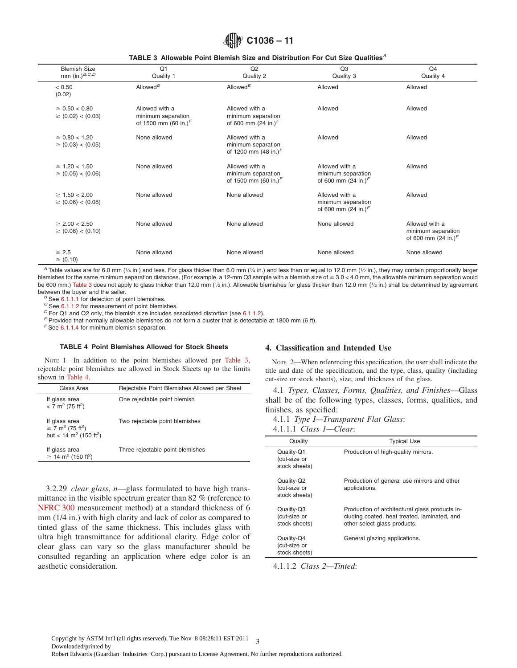# <span id="page-2-1"></span>**C1036 – 11**

#### **TABLE 3 Allowable Point Blemish Size and Distribution For Cut Size Qualities***<sup>A</sup>*

| <b>Blemish Size</b>                          | Q <sub>1</sub>                                                         | Q2                                                                     | O <sub>3</sub>                                                         | Q <sub>4</sub>                                                         |
|----------------------------------------------|------------------------------------------------------------------------|------------------------------------------------------------------------|------------------------------------------------------------------------|------------------------------------------------------------------------|
| mm $(in.)^{B,C,D}$                           | Quality 1                                                              | Quality 2                                                              | Quality 3                                                              | Quality 4                                                              |
| < 0.50<br>(0.02)                             | Allowed $\epsilon$                                                     | Allowed $\epsilon$                                                     | Allowed                                                                | Allowed                                                                |
| $\geq 0.50 < 0.80$<br>$\geq$ (0.02) < (0.03) | Allowed with a<br>minimum separation<br>of 1500 mm (60 in.) $\sqrt{r}$ | Allowed with a<br>minimum separation<br>of 600 mm $(24 \text{ in.})^F$ | Allowed                                                                | Allowed                                                                |
| $\geq 0.80 < 1.20$<br>$\geq$ (0.03) < (0.05) | None allowed                                                           | Allowed with a<br>minimum separation<br>of 1200 mm (48 in.) $F$        | Allowed                                                                | Allowed                                                                |
| $\geq 1.20 < 1.50$<br>$\geq$ (0.05) < (0.06) | None allowed                                                           | Allowed with a<br>minimum separation<br>of 1500 mm (60 in.) $F$        | Allowed with a<br>minimum separation<br>of 600 mm $(24 \text{ in.})^F$ | Allowed                                                                |
| $\geq 1.50 < 2.00$<br>$\geq$ (0.06) < (0.08) | None allowed                                                           | None allowed                                                           | Allowed with a<br>minimum separation<br>of 600 mm $(24 \text{ in.})^F$ | Allowed                                                                |
| $\geq 2.00 < 2.50$<br>$\geq$ (0.08) < (0.10) | None allowed                                                           | None allowed                                                           | None allowed                                                           | Allowed with a<br>minimum separation<br>of 600 mm $(24 \text{ in.})^F$ |
| $\geq 2.5$<br>$\geq (0.10)$                  | None allowed                                                           | None allowed                                                           | None allowed                                                           | None allowed                                                           |

*A* Table values are for 6.0 mm (1/4 in.) and less. For glass thicker than 6.0 mm (1/4 in.) and less than or equal to 12.0 mm (1/2 in.), they may contain proportionally larger blemishes for the same minimum separation distances. (For example, a 12-mm Q3 sample with a blemish size of  $\geq 3.0 < 4.0$  mm, the allowable minimum separation would be 600 mm.) [Table 3](#page-2-1) does not apply to glass thicker than 12.0 mm ( $\frac{1}{2}$  in.). Allowable blemishes for glass thicker than 12.0 mm ( $\frac{1}{2}$  in.) shall be determined by agreement between the buyer and the seller.

<sup>B</sup> See [6.1.1.1](#page-6-0) for detection of point blemishes.<br>
<sup>C</sup> See [6.1.1.2](#page-6-1) for measurement of point blemishes.<br>
<sup>D</sup> For Q1 and Q2 only, the blemish size includes associated distortion (see [6.1.1.2\)](#page-6-1).<br>
<sup>E</sup> Provided that normally al

*<sup>F</sup>* See [6.1.1.4](#page-6-2) for minimum blemish separation.

#### **TABLE 4 Point Blemishes Allowed for Stock Sheets**

NOTE 1-In addition to the point blemishes allowed per [Table 3,](#page-2-1) rejectable point blemishes are allowed in Stock Sheets up to the limits shown in [Table 4.](#page-2-2)

| Glass Area                                                                                                       | Rejectable Point Blemishes Allowed per Sheet |
|------------------------------------------------------------------------------------------------------------------|----------------------------------------------|
| If glass area<br>$<$ 7 m <sup>2</sup> (75 ft <sup>2</sup> )                                                      | One rejectable point blemish                 |
| If glass area<br>$\geq$ 7 m <sup>2</sup> (75 ft <sup>2</sup> )<br>but < 14 m <sup>2</sup> (150 ft <sup>2</sup> ) | Two rejectable point blemishes               |
| If glass area<br>$\geq$ 14 m <sup>2</sup> (150 ft <sup>2</sup> )                                                 | Three rejectable point blemishes             |

3.2.29 *clear glass*, *n*—glass formulated to have high transmittance in the visible spectrum greater than 82 % (reference to [NFRC 300](#page-7-0) measurement method) at a standard thickness of 6 mm (1/4 in.) with high clarity and lack of color as compared to tinted glass of the same thickness. This includes glass with ultra high transmittance for additional clarity. Edge color of clear glass can vary so the glass manufacturer should be consulted regarding an application where edge color is an aesthetic consideration.

### <span id="page-2-2"></span>**4. Classification and Intended Use**

NOTE 2—When referencing this specification, the user shall indicate the title and date of the specification, and the type, class, quality (including cut-size or stock sheets), size, and thickness of the glass.

4.1 *Types, Classes, Forms, Qualities, and Finishes*—Glass shall be of the following types, classes, forms, qualities, and finishes, as specified:

| 4.1.1 Type I-Transparent Flat Glass: |
|--------------------------------------|
|--------------------------------------|

#### 4.1.1.1 *Class 1—Clear*:

<span id="page-2-0"></span>

| Quality                                     | <b>Typical Use</b>                                                                                                             |
|---------------------------------------------|--------------------------------------------------------------------------------------------------------------------------------|
|                                             |                                                                                                                                |
| Quality-Q1<br>(cut-size or<br>stock sheets) | Production of high-quality mirrors.                                                                                            |
| Quality-Q2<br>(cut-size or<br>stock sheets) | Production of general use mirrors and other<br>applications.                                                                   |
| Quality-Q3<br>(cut-size or<br>stock sheets) | Production of architectural glass products in-<br>cluding coated, heat treated, laminated, and<br>other select glass products. |
| Quality-Q4<br>(cut-size or<br>stock sheets) | General glazing applications.                                                                                                  |

4.1.1.2 *Class 2—Tinted*: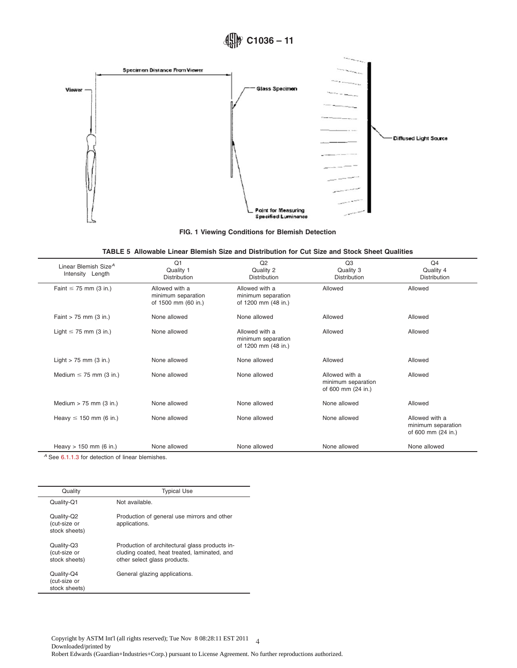<span id="page-3-0"></span>**C1036 – 11**



<span id="page-3-1"></span>

| TABLE 5 Allowable Linear Blemish Size and Distribution for Cut Size and Stock Sheet Qualities |  |
|-----------------------------------------------------------------------------------------------|--|
|-----------------------------------------------------------------------------------------------|--|

| Linear Blemish Size <sup>A</sup><br>Intensity Length                                                                                                                | Q <sub>1</sub><br>Quality 1<br><b>Distribution</b>          | Q <sub>2</sub><br>Quality 2<br><b>Distribution</b>          | Q <sub>3</sub><br>Quality 3<br><b>Distribution</b>         | Q <sub>4</sub><br>Quality 4<br>Distribution                |
|---------------------------------------------------------------------------------------------------------------------------------------------------------------------|-------------------------------------------------------------|-------------------------------------------------------------|------------------------------------------------------------|------------------------------------------------------------|
| Faint $\leq$ 75 mm (3 in.)                                                                                                                                          | Allowed with a<br>minimum separation<br>of 1500 mm (60 in.) | Allowed with a<br>minimum separation<br>of 1200 mm (48 in.) | Allowed                                                    | Allowed                                                    |
| Faint $> 75$ mm (3 in.)                                                                                                                                             | None allowed                                                | None allowed                                                | Allowed                                                    | Allowed                                                    |
| Light $\leq$ 75 mm (3 in.)                                                                                                                                          | None allowed                                                | Allowed with a<br>minimum separation<br>of 1200 mm (48 in.) | Allowed                                                    | Allowed                                                    |
| Light $> 75$ mm (3 in.)                                                                                                                                             | None allowed                                                | None allowed                                                | Allowed                                                    | Allowed                                                    |
| Medium $\leq$ 75 mm (3 in.)                                                                                                                                         | None allowed                                                | None allowed                                                | Allowed with a<br>minimum separation<br>of 600 mm (24 in.) | Allowed                                                    |
| Medium $> 75$ mm (3 in.)                                                                                                                                            | None allowed                                                | None allowed                                                | None allowed                                               | Allowed                                                    |
| Heavy $\leq$ 150 mm (6 in.)                                                                                                                                         | None allowed                                                | None allowed                                                | None allowed                                               | Allowed with a<br>minimum separation<br>of 600 mm (24 in.) |
| Heavy $> 150$ mm (6 in.)                                                                                                                                            | None allowed                                                | None allowed                                                | None allowed                                               | None allowed                                               |
| $A \cap \mathbb{R}$ and $A \cap \mathbb{R}$ and $A \cap \mathbb{R}$ and $A \cap \mathbb{R}$ and $A \cap \mathbb{R}$ and $A \cap \mathbb{R}$ and $A \cap \mathbb{R}$ |                                                             |                                                             |                                                            |                                                            |

See [6.1.1.3](#page-6-3) for detection of linear blemishes.

| Quality                                     | <b>Typical Use</b>                                                                                                             |
|---------------------------------------------|--------------------------------------------------------------------------------------------------------------------------------|
| Quality-Q1                                  | Not available.                                                                                                                 |
| Quality-Q2<br>(cut-size or<br>stock sheets) | Production of general use mirrors and other<br>applications.                                                                   |
| Quality-Q3<br>(cut-size or<br>stock sheets) | Production of architectural glass products in-<br>cluding coated, heat treated, laminated, and<br>other select glass products. |
| Quality-Q4<br>(cut-size or<br>stock sheets) | General glazing applications.                                                                                                  |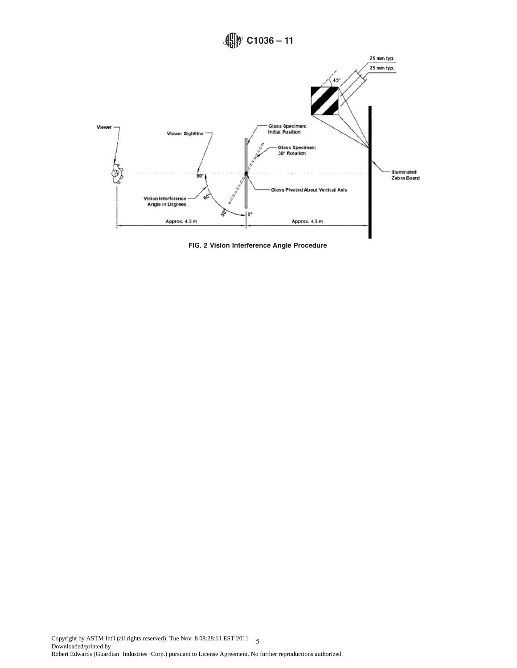

<span id="page-4-0"></span>**FIG. 2 Vision Interference Angle Procedure**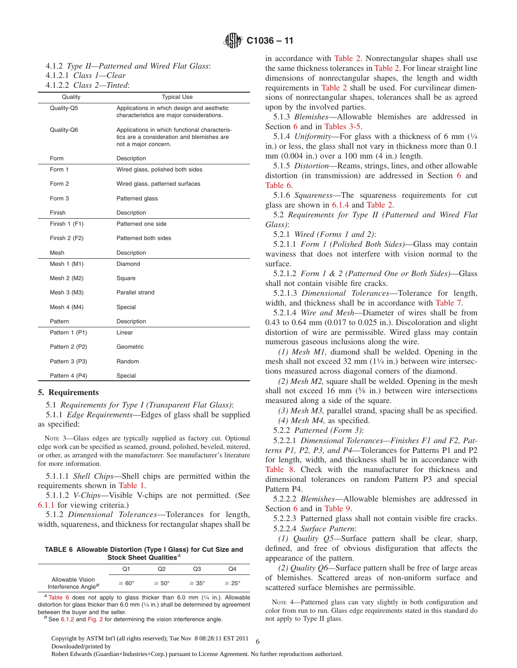|  |  |  |  |  | 4.1.2 Type II-Patterned and Wired Flat Glass: |  |  |  |  |
|--|--|--|--|--|-----------------------------------------------|--|--|--|--|
|--|--|--|--|--|-----------------------------------------------|--|--|--|--|

4.1.2.1 *Class 1—Clear*

4.1.2.2 *Class 2—Tinted*:

| Quality        | <b>Typical Use</b>                                                                                                  |
|----------------|---------------------------------------------------------------------------------------------------------------------|
| Quality-Q5     | Applications in which design and aesthetic<br>characteristics are major considerations.                             |
| Quality-Q6     | Applications in which functional characteris-<br>tics are a consideration and blemishes are<br>not a major concern. |
| Form           | Description                                                                                                         |
| Form 1         | Wired glass, polished both sides                                                                                    |
| Form 2         | Wired glass, patterned surfaces                                                                                     |
| Form 3         | Patterned glass                                                                                                     |
| Finish         | Description                                                                                                         |
| Finish 1 (F1)  | Patterned one side                                                                                                  |
| Finish 2 (F2)  | Patterned both sides                                                                                                |
| Mesh           | Description                                                                                                         |
| Mesh $1$ (M1)  | Diamond                                                                                                             |
| Mesh 2 (M2)    | Square                                                                                                              |
| Mesh 3 (M3)    | Parallel strand                                                                                                     |
| Mesh $4$ (M4)  | Special                                                                                                             |
| Pattern        | Description                                                                                                         |
| Pattern 1 (P1) | Linear                                                                                                              |
| Pattern 2 (P2) | Geometric                                                                                                           |
| Pattern 3 (P3) | Random                                                                                                              |
| Pattern 4 (P4) | Special                                                                                                             |

## **5. Requirements**

5.1 *Requirements for Type I (Transparent Flat Glass)*:

5.1.1 *Edge Requirements*—Edges of glass shall be supplied as specified:

NOTE 3—Glass edges are typically supplied as factory cut. Optional edge work can be specified as seamed, ground, polished, beveled, mitered, or other, as arranged with the manufacturer. See manufacturer's literature for more information.

5.1.1.1 *Shell Chips*—Shell chips are permitted within the requirements shown in [Table 1.](#page-1-0)

5.1.1.2 *V-Chips*—Visible V-chips are not permitted. (See [6.1.1](#page-6-4) for viewing criteria.)

5.1.2 *Dimensional Tolerances*—Tolerances for length, width, squareness, and thickness for rectangular shapes shall be

**TABLE 6 Allowable Distortion (Type I Glass) for Cut Size and Stock Sheet Qualities***<sup>A</sup>*

|                                                     | O.                | Ω2                | OЗ                | Ω4                |
|-----------------------------------------------------|-------------------|-------------------|-------------------|-------------------|
| Allowable Vision<br>Interference Angle <sup>B</sup> | $\geq 60^{\circ}$ | $\geq 50^{\circ}$ | $\geq 35^{\circ}$ | $\geq 25^{\circ}$ |

*<sup>A</sup>* [Table 6](#page-5-0) does not apply to glass thicker than 6.0 mm (1⁄4 in.). Allowable distortion for glass thicker than 6.0 mm (1/4 in.) shall be determined by agreement between the buyer and the seller.<br><sup>*B*</sup> See [6.1.2](#page-6-8) and [Fig. 2](#page-4-0) for determining the vision interference angle.

6 Copyright by ASTM Int'l (all rights reserved); Tue Nov 8 08:28:11 EST 2011 Downloaded/printed by

in accordance with [Table 2.](#page-1-1) Nonrectangular shapes shall use the same thickness tolerances in [Table 2.](#page-1-1) For linear straight line dimensions of nonrectangular shapes, the length and width requirements in [Table 2](#page-1-1) shall be used. For curvilinear dimensions of nonrectangular shapes, tolerances shall be as agreed upon by the involved parties.

5.1.3 *Blemishes*—Allowable blemishes are addressed in Section [6](#page-6-5) and in [Tables 3-5.](#page-2-1)

5.1.4 *Uniformity*—For glass with a thickness of 6 mm (1⁄4 in.) or less, the glass shall not vary in thickness more than 0.1 mm (0.004 in.) over a 100 mm (4 in.) length.

5.1.5 *Distortion*—Reams, strings, lines, and other allowable distortion (in transmission) are addressed in Section [6](#page-6-5) and [Table 6.](#page-5-0)

5.1.6 *Squareness*—The squareness requirements for cut glass are shown in [6.1.4](#page-7-1) and [Table 2.](#page-1-1)

5.2 *Requirements for Type II (Patterned and Wired Flat Glass)*:

5.2.1 *Wired (Forms 1 and 2)*:

5.2.1.1 *Form 1 (Polished Both Sides)*—Glass may contain waviness that does not interfere with vision normal to the surface.

5.2.1.2 *Form 1 & 2 (Patterned One or Both Sides)*—Glass shall not contain visible fire cracks.

5.2.1.3 *Dimensional Tolerances*—Tolerance for length, width, and thickness shall be in accordance with [Table 7.](#page-6-6)

5.2.1.4 *Wire and Mesh*—Diameter of wires shall be from 0.43 to 0.64 mm (0.017 to 0.025 in.). Discoloration and slight distortion of wire are permissible. Wired glass may contain numerous gaseous inclusions along the wire.

*(1) Mesh M1,* diamond shall be welded. Opening in the mesh shall not exceed 32 mm  $(1\frac{1}{4}$  in.) between wire intersections measured across diagonal corners of the diamond.

*(2) Mesh M2,* square shall be welded. Opening in the mesh shall not exceed 16 mm  $(5/8 \text{ in.})$  between wire intersections measured along a side of the square.

*(3) Mesh M3,* parallel strand, spacing shall be as specified.

*(4) Mesh M4,* as specified.

5.2.2 *Patterned (Form 3)*:

5.2.2.1 *Dimensional Tolerances—Finishes F1 and F2, Patterns P1, P2, P3, and P4*—Tolerances for Patterns P1 and P2 for length, width, and thickness shall be in accordance with [Table 8.](#page-6-7) Check with the manufacturer for thickness and dimensional tolerances on random Pattern P3 and special Pattern P4.

5.2.2.2 *Blemishes*—Allowable blemishes are addressed in Section [6](#page-6-5) and in [Table 9.](#page-7-2)

<span id="page-5-0"></span>5.2.2.3 Patterned glass shall not contain visible fire cracks. 5.2.2.4 *Surface Pattern*:

*(1) Quality Q5—*Surface pattern shall be clear, sharp, defined, and free of obvious disfiguration that affects the appearance of the pattern.

*(2) Quality Q6—*Surface pattern shall be free of large areas of blemishes. Scattered areas of non-uniform surface and scattered surface blemishes are permissible.

NOTE 4—Patterned glass can vary slightly in both configuration and color from run to run. Glass edge requirements stated in this standard do not apply to Type II glass.

Robert Edwards (Guardian+Industries+Corp.) pursuant to License Agreement. No further reproductions authorized.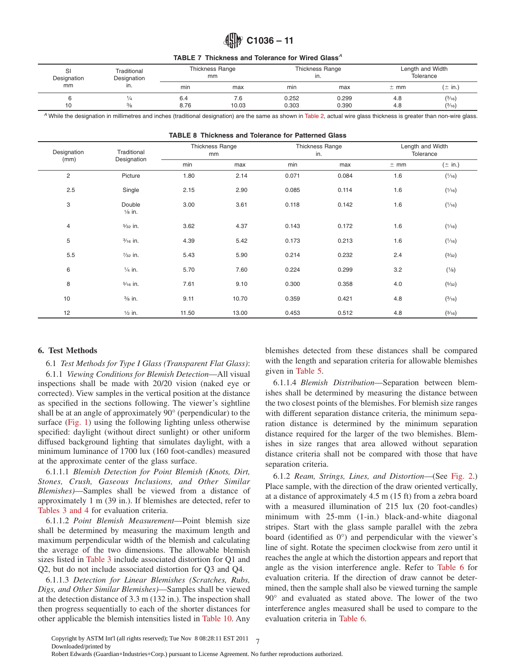## <span id="page-6-7"></span><span id="page-6-6"></span>*C1036 – 11*

#### **TABLE 7 Thickness and Tolerance for Wired Glass***<sup>A</sup>*

| SI          | Traditional   | Thickness Range |       | <b>Thickness Range</b> |       | Length and Width |             |
|-------------|---------------|-----------------|-------|------------------------|-------|------------------|-------------|
| Designation | Designation   | mm              |       |                        |       | Tolerance        |             |
| mm          | ın.           | min             | max   | min                    | max   | $\pm$ mm         | $(\pm$ in.) |
| 10          | /4            | 6.4             | 7.6   | 0.252                  | 0.299 | 4.8              | (3/16)      |
|             | $\frac{3}{8}$ | 8.76            | 10.03 | 0.303                  | 0.390 | 4.8              | (3/16)      |

*<sup>A</sup>* While the designation in millimetres and inches (traditional designation) are the same as shown in [Table 2,](#page-1-1) actual wire glass thickness is greater than non-wire glass.

**TABLE 8 Thickness and Tolerance for Patterned Glass**

| Designation    | Traditional<br>Designation  | <b>Thickness Range</b><br>mm |       | Thickness Range<br>in. |       | Length and Width<br>Tolerance |                  |
|----------------|-----------------------------|------------------------------|-------|------------------------|-------|-------------------------------|------------------|
| (mm)           |                             | min                          | max   | min                    | max   | $±$ mm                        | $(\pm$ in.)      |
| $\overline{c}$ | Picture                     | 1.80                         | 2.14  | 0.071                  | 0.084 | 1.6                           | (1/16)           |
| 2.5            | Single                      | 2.15                         | 2.90  | 0.085                  | 0.114 | 1.6                           | $(\frac{1}{16})$ |
| 3              | Double<br>$\frac{1}{8}$ in. | 3.00                         | 3.61  | 0.118                  | 0.142 | 1.6                           | $(\frac{1}{16})$ |
| $\overline{4}$ | $5/32$ in.                  | 3.62                         | 4.37  | 0.143                  | 0.172 | 1.6                           | (1/16)           |
| 5              | 3/16 in.                    | 4.39                         | 5.42  | 0.173                  | 0.213 | 1.6                           | $(\frac{1}{16})$ |
| 5.5            | $\frac{7}{32}$ in.          | 5.43                         | 5.90  | 0.214                  | 0.232 | 2.4                           | (3/32)           |
| 6              | $\frac{1}{4}$ in.           | 5.70                         | 7.60  | 0.224                  | 0.299 | 3.2                           | (1/8)            |
| 8              | $\frac{5}{16}$ in.          | 7.61                         | 9.10  | 0.300                  | 0.358 | 4.0                           | (5/32)           |
| 10             | $\frac{3}{8}$ in.           | 9.11                         | 10.70 | 0.359                  | 0.421 | 4.8                           | (3/16)           |
| 12             | $\frac{1}{2}$ in.           | 11.50                        | 13.00 | 0.453                  | 0.512 | 4.8                           | (3/16)           |

## **6. Test Methods**

## 6.1 *Test Methods for Type I Glass (Transparent Flat Glass)*:

6.1.1 *Viewing Conditions for Blemish Detection*—All visual inspections shall be made with 20/20 vision (naked eye or corrected). View samples in the vertical position at the distance as specified in the sections following. The viewer's sightline shall be at an angle of approximately 90° (perpendicular) to the surface [\(Fig. 1\)](#page-3-0) using the following lighting unless otherwise specified: daylight (without direct sunlight) or other uniform diffused background lighting that simulates daylight, with a minimum luminance of 1700 lux (160 foot-candles) measured at the approximate center of the glass surface.

6.1.1.1 *Blemish Detection for Point Blemish (Knots, Dirt, Stones, Crush, Gaseous Inclusions, and Other Similar Blemishes)*—Samples shall be viewed from a distance of approximately 1 m (39 in.). If blemishes are detected, refer to [Tables 3 and 4](#page-2-1) for evaluation criteria.

6.1.1.2 *Point Blemish Measurement*—Point blemish size shall be determined by measuring the maximum length and maximum perpendicular width of the blemish and calculating the average of the two dimensions. The allowable blemish sizes listed in [Table 3](#page-2-1) include associated distortion for Q1 and Q2, but do not include associated distortion for Q3 and Q4.

6.1.1.3 *Detection for Linear Blemishes (Scratches, Rubs, Digs, and Other Similar Blemishes)*—Samples shall be viewed at the detection distance of 3.3 m (132 in.). The inspection shall then progress sequentially to each of the shorter distances for other applicable the blemish intensities listed in [Table 10.](#page-7-3) Any <span id="page-6-5"></span><span id="page-6-4"></span>blemishes detected from these distances shall be compared with the length and separation criteria for allowable blemishes given in [Table 5.](#page-3-1)

<span id="page-6-2"></span>6.1.1.4 *Blemish Distribution*—Separation between blemishes shall be determined by measuring the distance between the two closest points of the blemishes. For blemish size ranges with different separation distance criteria, the minimum separation distance is determined by the minimum separation distance required for the larger of the two blemishes. Blemishes in size ranges that area allowed without separation distance criteria shall not be compared with those that have separation criteria.

<span id="page-6-8"></span><span id="page-6-3"></span><span id="page-6-1"></span><span id="page-6-0"></span>6.1.2 *Ream, Strings, Lines, and Distortion*—(See [Fig. 2.](#page-4-0)) Place sample, with the direction of the draw oriented vertically, at a distance of approximately 4.5 m (15 ft) from a zebra board with a measured illumination of 215 lux (20 foot-candles) minimum with 25-mm (1-in.) black-and-white diagonal stripes. Start with the glass sample parallel with the zebra board (identified as 0°) and perpendicular with the viewer's line of sight. Rotate the specimen clockwise from zero until it reaches the angle at which the distortion appears and report that angle as the vision interference angle. Refer to [Table 6](#page-5-0) for evaluation criteria. If the direction of draw cannot be determined, then the sample shall also be viewed turning the sample 90° and evaluated as stated above. The lower of the two interference angles measured shall be used to compare to the evaluation criteria in [Table 6.](#page-5-0)

Robert Edwards (Guardian+Industries+Corp.) pursuant to License Agreement. No further reproductions authorized.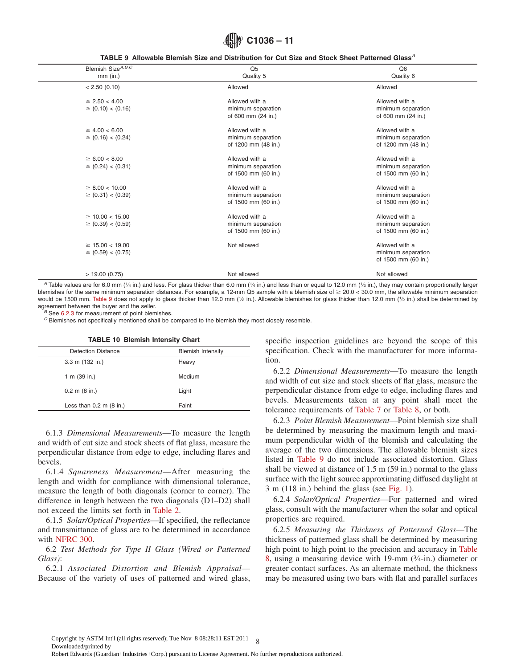<span id="page-7-2"></span>

#### **TABLE 9 Allowable Blemish Size and Distribution for Cut Size and Stock Sheet Patterned Glass***<sup>A</sup>*

| Blemish SizeA,B,C                            | Q <sub>5</sub>                            | Q <sub>6</sub>                            |
|----------------------------------------------|-------------------------------------------|-------------------------------------------|
| $mm$ (in.)                                   | Quality 5                                 | Quality 6                                 |
| < 2.50(0.10)                                 | Allowed                                   | Allowed                                   |
| $\geq$ 2.50 < 4.00                           | Allowed with a                            | Allowed with a                            |
| $\geq$ (0.10) < (0.16)                       | minimum separation<br>of 600 mm (24 in.)  | minimum separation<br>of 600 mm (24 in.)  |
| $\geq 4.00 < 6.00$<br>$\geq$ (0.16) < (0.24) | Allowed with a<br>minimum separation      | Allowed with a<br>minimum separation      |
|                                              | of 1200 mm (48 in.)                       | of 1200 mm (48 in.)                       |
| $\geq 6.00 < 8.00$                           | Allowed with a                            | Allowed with a                            |
| $\geq$ (0.24) < (0.31)                       | minimum separation<br>of 1500 mm (60 in.) | minimum separation<br>of 1500 mm (60 in.) |
| $\geq 8.00 < 10.00$                          | Allowed with a                            | Allowed with a                            |
| $\geq$ (0.31) < (0.39)                       | minimum separation<br>of 1500 mm (60 in.) | minimum separation<br>of 1500 mm (60 in.) |
| $\geq$ 10.00 < 15.00                         | Allowed with a                            | Allowed with a                            |
| $\geq$ (0.39) < (0.59)                       | minimum separation<br>of 1500 mm (60 in.) | minimum separation<br>of 1500 mm (60 in.) |
| $\geq$ 15.00 < 19.00                         | Not allowed                               | Allowed with a                            |
| $\geq$ (0.59) < (0.75)                       |                                           | minimum separation<br>of 1500 mm (60 in.) |
| > 19.00(0.75)                                | Not allowed                               | Not allowed                               |

*<sup>A</sup>* Table values are for 6.0 mm (1⁄4 in.) and less. For glass thicker than 6.0 mm (1⁄4 in.) and less than or equal to 12.0 mm (1⁄2 in.), they may contain proportionally larger blemishes for the same minimum separation distances. For example, a 12-mm Q5 sample with a blemish size of  $\geq$  20.0 < 30.0 mm, the allowable minimum separation would be 1500 mm. [Table 9](#page-7-2) does not apply to glass thicker than 12.0 mm (1/2 in.). Allowable blemishes for glass thicker than 12.0 mm (1/2 in.) shall be determined by agreement between the buyer and the seller.

<sup>B</sup> See [6.2.3](#page-7-4) for measurement of point blemishes.<br><sup>*C*</sup> Blemishes not specifically mentioned shall be compared to the blemish they most closely resemble.

#### **TABLE 10 Blemish Intensity Chart**

| <b>Detection Distance</b>   | <b>Blemish Intensity</b> |
|-----------------------------|--------------------------|
| $3.3 \text{ m}$ (132 in.)   | Heavy                    |
| 1 m $(39 in.)$              | Medium                   |
| $0.2$ m $(8$ in.)           | Light                    |
| Less than $0.2$ m $(8$ in.) | Faint                    |

6.1.3 *Dimensional Measurements*—To measure the length and width of cut size and stock sheets of flat glass, measure the perpendicular distance from edge to edge, including flares and bevels.

6.1.4 *Squareness Measurement*—After measuring the length and width for compliance with dimensional tolerance, measure the length of both diagonals (corner to corner). The difference in length between the two diagonals (D1–D2) shall not exceed the limits set forth in [Table 2.](#page-1-1)

6.1.5 *Solar/Optical Properties*—If specified, the reflectance and transmittance of glass are to be determined in accordance with [NFRC 300.](#page-0-2)

6.2 *Test Methods for Type II Glass (Wired or Patterned Glass)*:

6.2.1 *Associated Distortion and Blemish Appraisal*— Because of the variety of uses of patterned and wired glass, <span id="page-7-3"></span>specific inspection guidelines are beyond the scope of this specification. Check with the manufacturer for more information.

6.2.2 *Dimensional Measurements*—To measure the length and width of cut size and stock sheets of flat glass, measure the perpendicular distance from edge to edge, including flares and bevels. Measurements taken at any point shall meet the tolerance requirements of [Table 7](#page-6-6) or [Table 8,](#page-6-7) or both.

<span id="page-7-4"></span>6.2.3 *Point Blemish Measurement*—Point blemish size shall be determined by measuring the maximum length and maximum perpendicular width of the blemish and calculating the average of the two dimensions. The allowable blemish sizes listed in [Table 9](#page-7-2) do not include associated distortion. Glass shall be viewed at distance of 1.5 m (59 in.) normal to the glass surface with the light source approximating diffused daylight at 3 m (118 in.) behind the glass (see [Fig. 1\)](#page-3-0).

<span id="page-7-1"></span>6.2.4 *Solar/Optical Properties*—For patterned and wired glass, consult with the manufacturer when the solar and optical properties are required.

<span id="page-7-0"></span>6.2.5 *Measuring the Thickness of Patterned Glass*—The thickness of patterned glass shall be determined by measuring high point to high point to the precision and accuracy in [Table](#page-6-7) [8,](#page-6-7) using a measuring device with 19-mm  $(3/4 \text{-} \text{in.})$  diameter or greater contact surfaces. As an alternate method, the thickness may be measured using two bars with flat and parallel surfaces